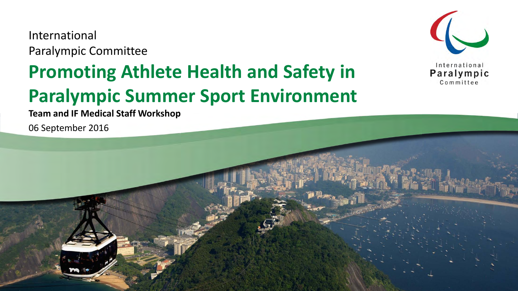International Paralympic Committee

### **Promoting Athlete Health and Safety in Paralympic Summer Sport Environment**



**Team and IF Medical Staff Workshop**

06 September 2016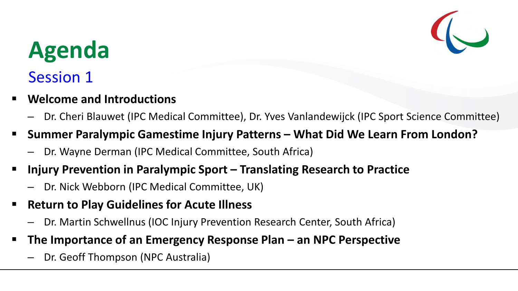

### **Agenda**

#### Session 1

- **Welcome and Introductions**
	- Dr. Cheri Blauwet (IPC Medical Committee), Dr. Yves Vanlandewijck (IPC Sport Science Committee)
- **Summer Paralympic Gamestime Injury Patterns What Did We Learn From London?**
	- Dr. Wayne Derman (IPC Medical Committee, South Africa)
- **Injury Prevention in Paralympic Sport Translating Research to Practice** 
	- Dr. Nick Webborn (IPC Medical Committee, UK)
- **Return to Play Guidelines for Acute Illness**
	- Dr. Martin Schwellnus (IOC Injury Prevention Research Center, South Africa)
- **The Importance of an Emergency Response Plan an NPC Perspective**
	- Dr. Geoff Thompson (NPC Australia)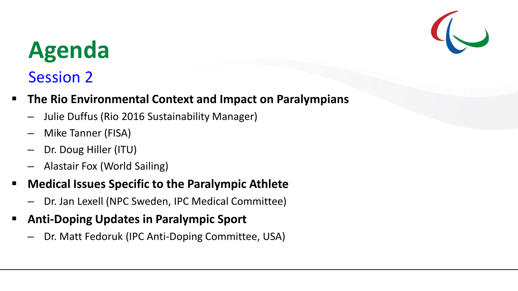

# **Agenda**

### Session 2

- **The Rio Environmental Context and Impact on Paralympians** 
	- Julie Duffus (Rio 2016 Sustainability Manager)
	- Mike Tanner (FISA)
	- Dr. Doug Hiller (ITU)
	- Alastair Fox (World Sailing)
- **Medical Issues Specific to the Paralympic Athlete** 
	- Dr. Jan Lexell (NPC Sweden, IPC Medical Committee)
- **Anti-Doping Updates in Paralympic Sport**
	- Dr. Matt Fedoruk (IPC Anti-Doping Committee, USA)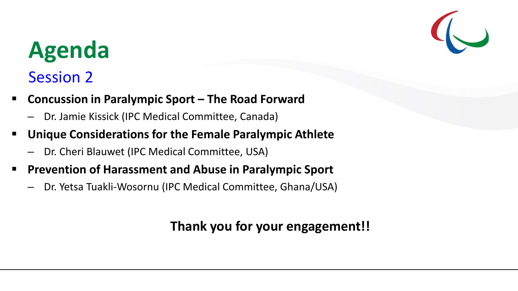## **Agenda**

### Session 2

- **Concussion in Paralympic Sport The Road Forward**
	- Dr. Jamie Kissick (IPC Medical Committee, Canada)
- **Unique Considerations for the Female Paralympic Athlete**
	- Dr. Cheri Blauwet (IPC Medical Committee, USA)
- **Prevention of Harassment and Abuse in Paralympic Sport** 
	- Dr. Yetsa Tuakli-Wosornu (IPC Medical Committee, Ghana/USA)

#### **Thank you for your engagement!!**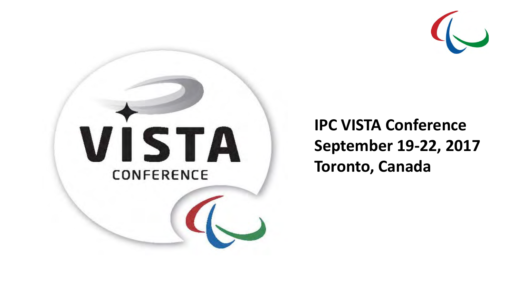

# VISTA CONFERENCE

**IPC VISTA Conference September 19-22, 2017 Toronto, Canada**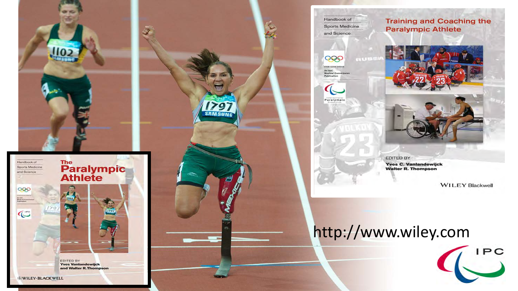